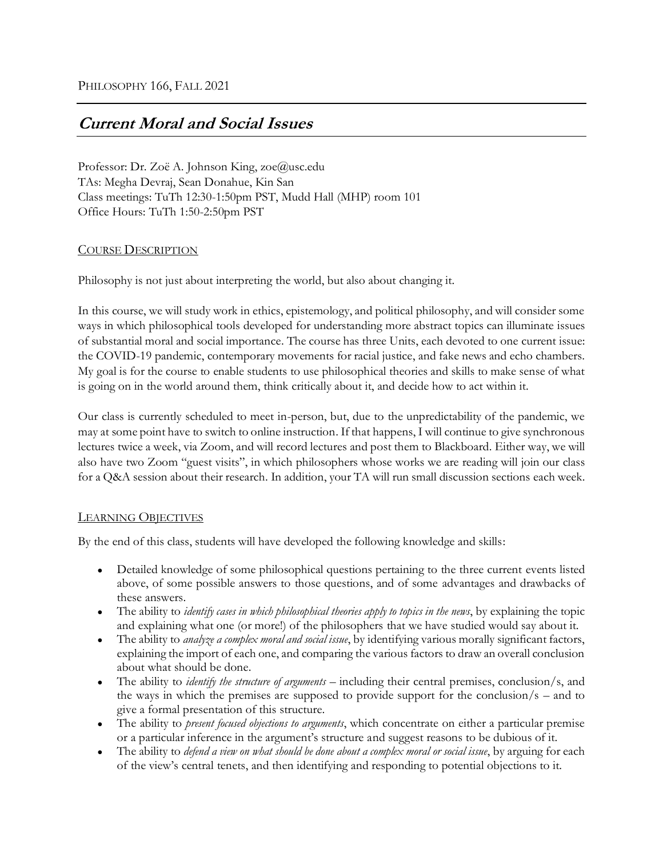# **Current Moral and Social Issues**

Professor: Dr. Zoë A. Johnson King, zoe@usc.edu TAs: Megha Devraj, Sean Donahue, Kin San Class meetings: TuTh 12:30-1:50pm PST, Mudd Hall (MHP) room 101 Office Hours: TuTh 1:50-2:50pm PST

# COURSE DESCRIPTION

Philosophy is not just about interpreting the world, but also about changing it.

In this course, we will study work in ethics, epistemology, and political philosophy, and will consider some ways in which philosophical tools developed for understanding more abstract topics can illuminate issues of substantial moral and social importance. The course has three Units, each devoted to one current issue: the COVID-19 pandemic, contemporary movements for racial justice, and fake news and echo chambers. My goal is for the course to enable students to use philosophical theories and skills to make sense of what is going on in the world around them, think critically about it, and decide how to act within it.

Our class is currently scheduled to meet in-person, but, due to the unpredictability of the pandemic, we may at some point have to switch to online instruction. If that happens, I will continue to give synchronous lectures twice a week, via Zoom, and will record lectures and post them to Blackboard. Either way, we will also have two Zoom "guest visits", in which philosophers whose works we are reading will join our class for a Q&A session about their research. In addition, your TA will run small discussion sections each week.

# LEARNING OBJECTIVES

By the end of this class, students will have developed the following knowledge and skills:

- Detailed knowledge of some philosophical questions pertaining to the three current events listed above, of some possible answers to those questions, and of some advantages and drawbacks of these answers.
- The ability to *identify cases in which philosophical theories apply to topics in the news*, by explaining the topic and explaining what one (or more!) of the philosophers that we have studied would say about it.
- The ability to *analyze a complex moral and social issue*, by identifying various morally significant factors, explaining the import of each one, and comparing the various factors to draw an overall conclusion about what should be done.
- The ability to *identify the structure of arguments* including their central premises, conclusion/s, and the ways in which the premises are supposed to provide support for the conclusion/s – and to give a formal presentation of this structure.
- The ability to *present focused objections to arguments*, which concentrate on either a particular premise or a particular inference in the argument's structure and suggest reasons to be dubious of it.
- The ability to *defend a view on what should be done about a complex moral or social issue*, by arguing for each of the view's central tenets, and then identifying and responding to potential objections to it.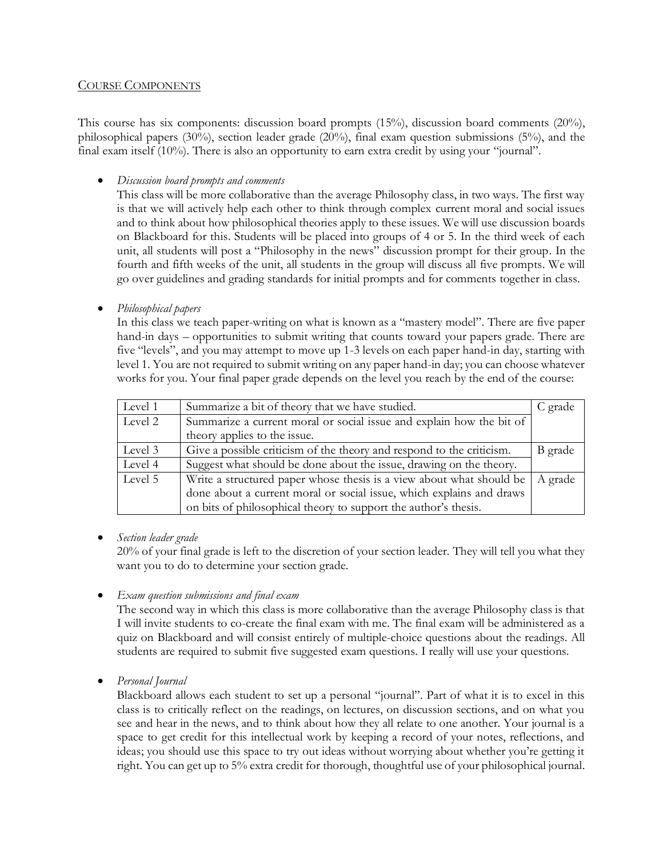## COURSE COMPONENTS

This course has six components: discussion board prompts (15%), discussion board comments (20%), philosophical papers (30%), section leader grade (20%), final exam question submissions (5%), and the final exam itself (10%). There is also an opportunity to earn extra credit by using your "journal".

• *Discussion board prompts and comments*

This class will be more collaborative than the average Philosophy class, in two ways. The first way is that we will actively help each other to think through complex current moral and social issues and to think about how philosophical theories apply to these issues. We will use discussion boards on Blackboard for this. Students will be placed into groups of 4 or 5. In the third week of each unit, all students will post a "Philosophy in the news" discussion prompt for their group. In the fourth and fifth weeks of the unit, all students in the group will discuss all five prompts. We will go over guidelines and grading standards for initial prompts and for comments together in class.

• *Philosophical papers*

In this class we teach paper-writing on what is known as a "mastery model". There are five paper hand-in days – opportunities to submit writing that counts toward your papers grade. There are five "levels", and you may attempt to move up 1-3 levels on each paper hand-in day, starting with level 1. You are not required to submit writing on any paper hand-in day; you can choose whatever works for you. Your final paper grade depends on the level you reach by the end of the course:

| Level 1 | Summarize a bit of theory that we have studied.                       | C grade |
|---------|-----------------------------------------------------------------------|---------|
| Level 2 | Summarize a current moral or social issue and explain how the bit of  |         |
|         | theory applies to the issue.                                          |         |
| Level 3 | Give a possible criticism of the theory and respond to the criticism. | B grade |
| Level 4 | Suggest what should be done about the issue, drawing on the theory.   |         |
| Level 5 | Write a structured paper whose thesis is a view about what should be  | A grade |
|         | done about a current moral or social issue, which explains and draws  |         |
|         | on bits of philosophical theory to support the author's thesis.       |         |

• *Section leader grade*

20% of your final grade is left to the discretion of your section leader. They will tell you what they want you to do to determine your section grade.

• *Exam question submissions and final exam*

The second way in which this class is more collaborative than the average Philosophy class is that I will invite students to co-create the final exam with me. The final exam will be administered as a quiz on Blackboard and will consist entirely of multiple-choice questions about the readings. All students are required to submit five suggested exam questions. I really will use your questions.

• *Personal Journal*

Blackboard allows each student to set up a personal "journal". Part of what it is to excel in this class is to critically reflect on the readings, on lectures, on discussion sections, and on what you see and hear in the news, and to think about how they all relate to one another. Your journal is a space to get credit for this intellectual work by keeping a record of your notes, reflections, and ideas; you should use this space to try out ideas without worrying about whether you're getting it right. You can get up to 5% extra credit for thorough, thoughtful use of your philosophical journal.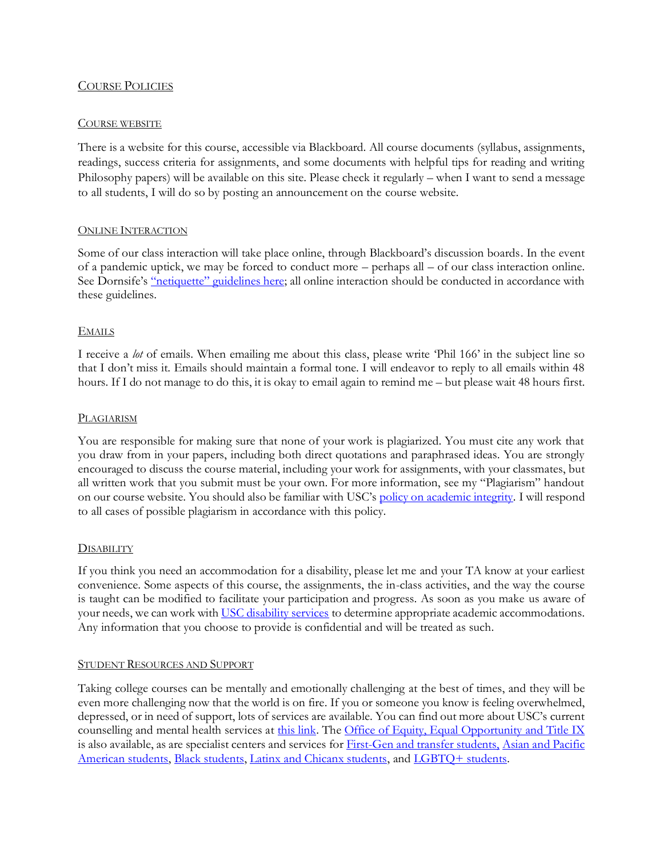## COURSE POLICIES

#### COURSE WEBSITE

There is a website for this course, accessible via Blackboard. All course documents (syllabus, assignments, readings, success criteria for assignments, and some documents with helpful tips for reading and writing Philosophy papers) will be available on this site. Please check it regularly – when I want to send a message to all students, I will do so by posting an announcement on the course website.

#### ONLINE INTERACTION

Some of our class interaction will take place online, through Blackboard's discussion boards. In the event of a pandemic uptick, we may be forced to conduct more – perhaps all – of our class interaction online. See Dornsife's ["netiquette" guidelines here](https://dornsife.usc.edu/teaching-in-dornsife/nurture-student-community#netiquette); all online interaction should be conducted in accordance with these guidelines.

#### EMAILS

I receive a *lot* of emails. When emailing me about this class, please write 'Phil 166' in the subject line so that I don't miss it. Emails should maintain a formal tone. I will endeavor to reply to all emails within 48 hours. If I do not manage to do this, it is okay to email again to remind me – but please wait 48 hours first.

#### PLAGIARISM

You are responsible for making sure that none of your work is plagiarized. You must cite any work that you draw from in your papers, including both direct quotations and paraphrased ideas. You are strongly encouraged to discuss the course material, including your work for assignments, with your classmates, but all written work that you submit must be your own. For more information, see my "Plagiarism" handout on our course website. You should also be familiar with USC's [policy on academic integrity](https://sjacs.usc.edu/students/academic-integrity/). I will respond to all cases of possible plagiarism in accordance with this policy.

#### **DISABILITY**

If you think you need an accommodation for a disability, please let me and your TA know at your earliest convenience. Some aspects of this course, the assignments, the in-class activities, and the way the course is taught can be modified to facilitate your participation and progress. As soon as you make us aware of your needs, we can work with [USC disability services](https://dsp.usc.edu/) to determine appropriate academic accommodations. Any information that you choose to provide is confidential and will be treated as such.

#### STUDENT RESOURCES AND SUPPORT

Taking college courses can be mentally and emotionally challenging at the best of times, and they will be even more challenging now that the world is on fire. If you or someone you know is feeling overwhelmed, depressed, or in need of support, lots of services are available. You can find out more about USC's current counselling and mental health services at [this link.](https://studenthealth.usc.edu/counseling/) The [Office of Equity, Equal Opportunity](https://eeotix.usc.edu/) and Title IX is also available, as are specialist centers and services for [First-Gen and transfer students,](https://firstgenplussc.usc.edu/) [Asian and Pacific](https://apass.usc.edu/)  [American students,](https://apass.usc.edu/) [Black students,](https://cbcsa.usc.edu/) [Latinx and Chicanx students,](https://lacasa.usc.edu/) and [LGBTQ+ students.](https://lgbtrc.usc.edu/about/)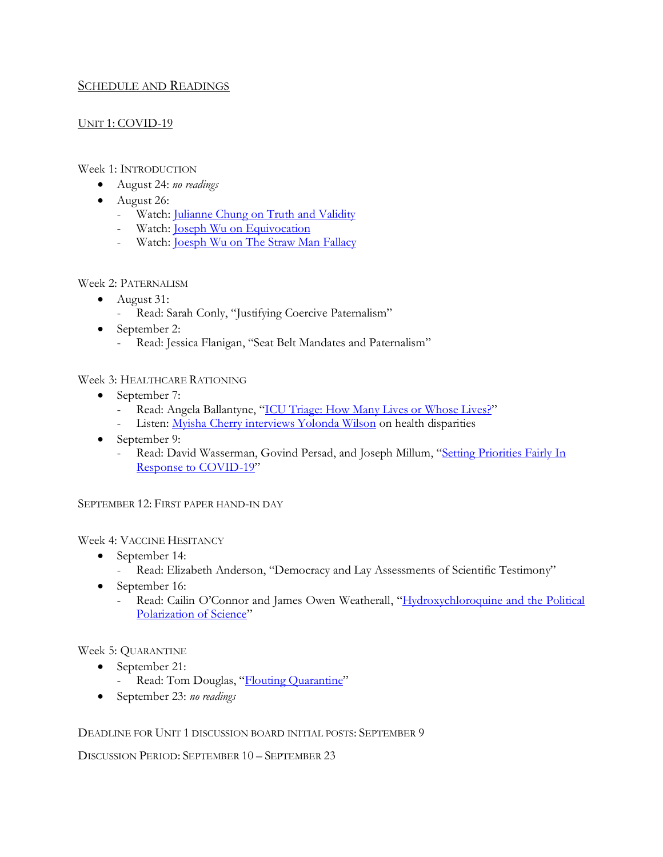# SCHEDULE AND READINGS

# UNIT 1: COVID-19

## Week 1: INTRODUCTION

- August 24: *no readings*
- August 26:
	- Watch: [Julianne Chung on Truth and Validity](https://wi-phi.com/videos/truth-and-validity/)
	- Watch: [Joseph Wu on Equivocation](https://www.wi-phi.com/videos/equivocation/)
	- Watch: **Joesph Wu on The Straw Man Fallacy**

## Week 2: PATERNALISM

- August 31:
	- Read: Sarah Conly, "Justifying Coercive Paternalism"
- September 2:
	- Read: Jessica Flanigan, "Seat Belt Mandates and Paternalism"

## Week 3: HEALTHCARE RATIONING

- September 7:
	- Read: Angela Ballantyne, "[ICU Triage: How Many Lives or Whose Lives?](https://blogs.bmj.com/medical-ethics/2020/04/07/icu-triage-how-many-lives-or-whose-lives/)"
	- Listen: [Myisha Cherry interviews Yolonda Wilson](https://unmute.squarespace.com/season-4/2112019/episode-041-yolonda-wilson-on-health-justice) on health disparities
- September 9:
	- Read: David Wasserman, Govind Persad, and Joseph Millum, "Setting Priorities Fairly In [Response to COVID-19](https://www.ncbi.nlm.nih.gov/pmc/articles/PMC7337850/pdf/lsaa044.pdf)"

SEPTEMBER 12: FIRST PAPER HAND-IN DAY

# Week 4: VACCINE HESITANCY

- September 14:
	- Read: Elizabeth Anderson, "Democracy and Lay Assessments of Scientific Testimony"
- September 16:
	- Read: Cailin O'Connor and James Owen Weatherall, "Hydroxychloroquine and the Political [Polarization of Science](https://bostonreview.net/science-nature-politics/cailin-oconnor-james-owen-weatherall-hydroxychloroquine-and-political)"

# Week 5: QUARANTINE

- September 21:
	- Read: Tom Douglas, "[Flouting Quarantine](http://stockholmcentre.org/flouting-quarantine/)"
- September 23: *no readings*

# DEADLINE FOR UNIT 1 DISCUSSION BOARD INITIAL POSTS: SEPTEMBER 9

DISCUSSION PERIOD: SEPTEMBER 10 – SEPTEMBER 23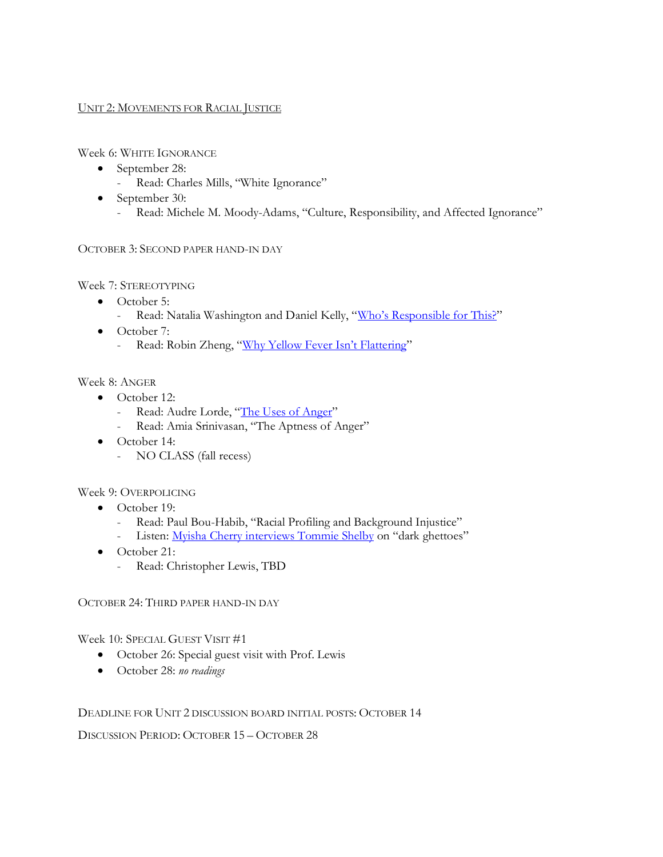## UNIT 2: MOVEMENTS FOR RACIAL JUSTICE

Week 6: WHITE IGNORANCE

- September 28:
	- Read: Charles Mills, "White Ignorance"
- September 30:
	- Read: Michele M. Moody-Adams, "Culture, Responsibility, and Affected Ignorance"

## OCTOBER 3: SECOND PAPER HAND-IN DAY

Week 7: STEREOTYPING

- October 5:
	- Read: Natalia Washington and Daniel Kelly, ["Who's Responsible for This?"](https://philpapers.org/archive/WASWRF.pdf)
- October 7:
	- Read: Robin Zheng, ["Why Yellow Fever Isn't Flatte](https://www-cambridge-org.libproxy1.usc.edu/core/journals/journal-of-the-american-philosophical-association/article/why-yellow-fever-isnt-flattering-a-case-against-racial-fetishes/96D2F19F052E8A2625968037BE756FEA)ring"

Week 8: ANGER

- October 12:
	- Read: Audre Lorde, "[The Uses of Anger](https://academicworks.cuny.edu/cgi/viewcontent.cgi?article=1654&context=wsq)"
	- Read: Amia Srinivasan, "The Aptness of Anger"
- October 14:
	- NO CLASS (fall recess)

#### Week 9: OVERPOLICING

- October 19:
	- Read: Paul Bou-Habib, "Racial Profiling and Background Injustice"
	- Listen: [Myisha Cherry interviews Tommie Shelby](https://unmute.squarespace.com/season-3/212017/episode-023-tommie-shelby-on-dark-ghettos) on "dark ghettoes"
- October 21:
	- Read: Christopher Lewis, TBD

OCTOBER 24: THIRD PAPER HAND-IN DAY

Week 10: SPECIAL GUEST VISIT #1

- October 26: Special guest visit with Prof. Lewis
- October 28: *no readings*

#### DEADLINE FOR UNIT 2 DISCUSSION BOARD INITIAL POSTS: OCTOBER 14

DISCUSSION PERIOD: OCTOBER 15 – OCTOBER 28